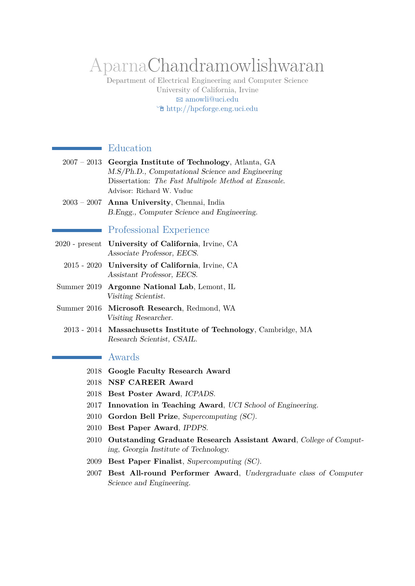# AparnaChandramowlishwaran

Department of Electrical Engineering and Computer Science University of California, Irvine B [amowli@uci.edu](mailto:amowli@uci.edu) Í <http://hpcforge.eng.uci.edu>

# Education

÷.

|                       | $2007 - 2013$ Georgia Institute of Technology, Atlanta, GA |
|-----------------------|------------------------------------------------------------|
|                       | M.S/Ph.D., Computational Science and Engineering           |
|                       | Dissertation: The Fast Multipole Method at Exascale.       |
|                       | Advisor: Richard W. Vuduc                                  |
|                       | $2003 - 2007$ Anna University, Chennai, India              |
|                       | B. Engg., Computer Science and Engineering.                |
|                       |                                                            |
|                       | Professional Experience                                    |
|                       | 2020 - present University of California, Irvine, CA        |
|                       | Associate Professor, EECS.                                 |
|                       | 2015 - 2020 University of California, Irvine, CA           |
|                       | Assistant Professor, EECS.                                 |
|                       | Summer 2019 Argonne National Lab, Lemont, IL               |
|                       | Visiting Scientist.                                        |
| $\alpha$ and $\alpha$ | $\blacksquare$                                             |

- Summer 2016 **Microsoft Research**, Redmond, WA Visiting Researcher.
	- 2013 2014 **Massachusetts Institute of Technology**, Cambridge, MA Research Scientist, CSAIL.

## Awards

÷

- 2018 **Google Faculty Research Award**
- 2018 **NSF CAREER Award**
- 2018 **Best Poster Award**, ICPADS.
- 2017 **Innovation in Teaching Award**, UCI School of Engineering.
- 2010 **Gordon Bell Prize**, Supercomputing (SC).
- 2010 **Best Paper Award**, IPDPS.
- 2010 **Outstanding Graduate Research Assistant Award**, College of Computing, Georgia Institute of Technology.
- 2009 **Best Paper Finalist**, Supercomputing (SC).
- 2007 **Best All-round Performer Award**, Undergraduate class of Computer Science and Engineering.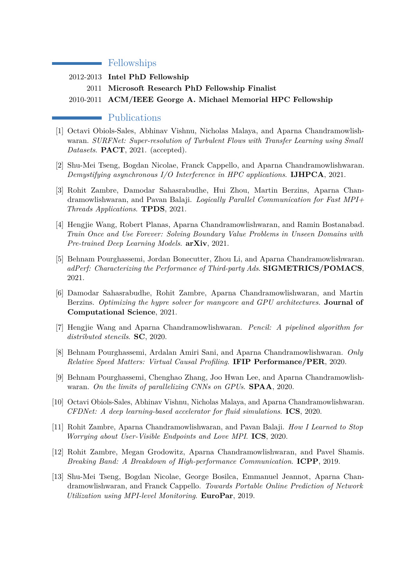## Fellowships

2012-2013 **Intel PhD Fellowship** 2011 **Microsoft Research PhD Fellowship Finalist** 2010-2011 **ACM/IEEE George A. Michael Memorial HPC Fellowship**

#### Publications

 $\sim$ 

- [1] Octavi Obiols-Sales, Abhinav Vishnu, Nicholas Malaya, and Aparna Chandramowlishwaran. *SURFNet: Super-resolution of Turbulent Flows with Transfer Learning using Small Datasets*. **PACT**, 2021. (accepted).
- [2] Shu-Mei Tseng, Bogdan Nicolae, Franck Cappello, and Aparna Chandramowlishwaran. *Demystifying asynchronous I/O Interference in HPC applications*. **IJHPCA**, 2021.
- [3] Rohit Zambre, Damodar Sahasrabudhe, Hui Zhou, Martin Berzins, Aparna Chandramowlishwaran, and Pavan Balaji. *Logically Parallel Communication for Fast MPI+ Threads Applications*. **TPDS**, 2021.
- [4] Hengjie Wang, Robert Planas, Aparna Chandramowlishwaran, and Ramin Bostanabad. *Train Once and Use Forever: Solving Boundary Value Problems in Unseen Domains with Pre-trained Deep Learning Models*. **arXiv**, 2021.
- [5] Behnam Pourghassemi, Jordan Bonecutter, Zhou Li, and Aparna Chandramowlishwaran. *adPerf: Characterizing the Performance of Third-party Ads*. **SIGMETRICS/POMACS**, 2021.
- [6] Damodar Sahasrabudhe, Rohit Zambre, Aparna Chandramowlishwaran, and Martin Berzins. *Optimizing the hypre solver for manycore and GPU architectures*. **Journal of Computational Science**, 2021.
- [7] Hengjie Wang and Aparna Chandramowlishwaran. *Pencil: A pipelined algorithm for distributed stencils*. **SC**, 2020.
- [8] Behnam Pourghassemi, Ardalan Amiri Sani, and Aparna Chandramowlishwaran. *Only Relative Speed Matters: Virtual Causal Profiling*. **IFIP Performance/PER**, 2020.
- [9] Behnam Pourghassemi, Chenghao Zhang, Joo Hwan Lee, and Aparna Chandramowlishwaran. *On the limits of parallelizing CNNs on GPUs*. **SPAA**, 2020.
- [10] Octavi Obiols-Sales, Abhinav Vishnu, Nicholas Malaya, and Aparna Chandramowlishwaran. *CFDNet: A deep learning-based accelerator for fluid simulations*. **ICS**, 2020.
- [11] Rohit Zambre, Aparna Chandramowlishwaran, and Pavan Balaji. *How I Learned to Stop Worrying about User-Visible Endpoints and Love MPI*. **ICS**, 2020.
- [12] Rohit Zambre, Megan Grodowitz, Aparna Chandramowlishwaran, and Pavel Shamis. *Breaking Band: A Breakdown of High-performance Communication*. **ICPP**, 2019.
- [13] Shu-Mei Tseng, Bogdan Nicolae, George Bosilca, Emmanuel Jeannot, Aparna Chandramowlishwaran, and Franck Cappello. *Towards Portable Online Prediction of Network Utilization using MPI-level Monitoring*. **EuroPar**, 2019.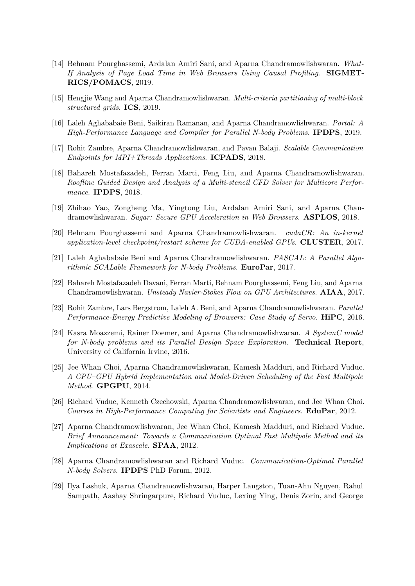- [14] Behnam Pourghassemi, Ardalan Amiri Sani, and Aparna Chandramowlishwaran. *What-If Analysis of Page Load Time in Web Browsers Using Causal Profiling*. **SIGMET-RICS/POMACS**, 2019.
- [15] Hengjie Wang and Aparna Chandramowlishwaran. *Multi-criteria partitioning of multi-block structured grids*. **ICS**, 2019.
- [16] Laleh Aghababaie Beni, Saikiran Ramanan, and Aparna Chandramowlishwaran. *Portal: A High-Performance Language and Compiler for Parallel N-body Problems*. **IPDPS**, 2019.
- [17] Rohit Zambre, Aparna Chandramowlishwaran, and Pavan Balaji. *Scalable Communication Endpoints for MPI+Threads Applications*. **ICPADS**, 2018.
- [18] Bahareh Mostafazadeh, Ferran Marti, Feng Liu, and Aparna Chandramowlishwaran. *Roofline Guided Design and Analysis of a Multi-stencil CFD Solver for Multicore Performance*. **IPDPS**, 2018.
- [19] Zhihao Yao, Zongheng Ma, Yingtong Liu, Ardalan Amiri Sani, and Aparna Chandramowlishwaran. *Sugar: Secure GPU Acceleration in Web Browsers*. **ASPLOS**, 2018.
- [20] Behnam Pourghassemi and Aparna Chandramowlishwaran. *cudaCR: An in-kernel application-level checkpoint/restart scheme for CUDA-enabled GPUs*. **CLUSTER**, 2017.
- [21] Laleh Aghababaie Beni and Aparna Chandramowlishwaran. *PASCAL: A Parallel Algorithmic SCALable Framework for N-body Problems*. **EuroPar**, 2017.
- [22] Bahareh Mostafazadeh Davani, Ferran Marti, Behnam Pourghassemi, Feng Liu, and Aparna Chandramowlishwaran. *Unsteady Navier-Stokes Flow on GPU Architectures*. **AIAA**, 2017.
- [23] Rohit Zambre, Lars Bergstrom, Laleh A. Beni, and Aparna Chandramowlishwaran. *Parallel Performance-Energy Predictive Modeling of Browsers: Case Study of Servo*. **HiPC**, 2016.
- [24] Kasra Moazzemi, Rainer Doemer, and Aparna Chandramowlishwaran. *A SystemC model for N-body problems and its Parallel Design Space Exploration*. **Technical Report**, University of California Irvine, 2016.
- [25] Jee Whan Choi, Aparna Chandramowlishwaran, Kamesh Madduri, and Richard Vuduc. *A CPU–GPU Hybrid Implementation and Model-Driven Scheduling of the Fast Multipole Method*. **GPGPU**, 2014.
- [26] Richard Vuduc, Kenneth Czechowski, Aparna Chandramowlishwaran, and Jee Whan Choi. *Courses in High-Performance Computing for Scientists and Engineers*. **EduPar**, 2012.
- [27] Aparna Chandramowlishwaran, Jee Whan Choi, Kamesh Madduri, and Richard Vuduc. *Brief Announcement: Towards a Communication Optimal Fast Multipole Method and its Implications at Exascale*. **SPAA**, 2012.
- [28] Aparna Chandramowlishwaran and Richard Vuduc. *Communication-Optimal Parallel N-body Solvers*. **IPDPS** PhD Forum, 2012.
- [29] Ilya Lashuk, Aparna Chandramowlishwaran, Harper Langston, Tuan-Ahn Nguyen, Rahul Sampath, Aashay Shringarpure, Richard Vuduc, Lexing Ying, Denis Zorin, and George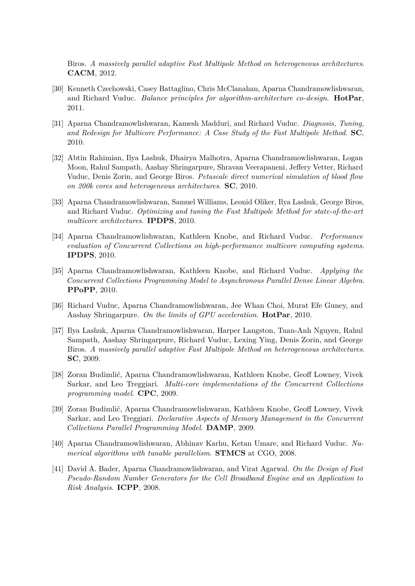Biros. *A massively parallel adaptive Fast Multipole Method on heterogeneous architectures*. **CACM**, 2012.

- [30] Kenneth Czechowski, Casey Battaglino, Chris McClanahan, Aparna Chandramowlishwaran, and Richard Vuduc. *Balance principles for algorithm-architecture co-design*. **HotPar**, 2011.
- [31] Aparna Chandramowlishwaran, Kamesh Madduri, and Richard Vuduc. *Diagnosis, Tuning, and Redesign for Multicore Performance: A Case Study of the Fast Multipole Method*. **SC**, 2010.
- [32] Abtin Rahimian, Ilya Lashuk, Dhairya Malhotra, Aparna Chandramowlishwaran, Logan Moon, Rahul Sampath, Aashay Shringarpure, Shravan Veerapaneni, Jeffery Vetter, Richard Vuduc, Denis Zorin, and George Biros. *Petascale direct numerical simulation of blood flow on 200k cores and heterogeneous architectures*. **SC**, 2010.
- [33] Aparna Chandramowlishwaran, Samuel Williams, Leonid Oliker, Ilya Lashuk, George Biros, and Richard Vuduc. *Optimizing and tuning the Fast Multipole Method for state-of-the-art multicore architectures*. **IPDPS**, 2010.
- [34] Aparna Chandramowlishwaran, Kathleen Knobe, and Richard Vuduc. *Performance evaluation of Concurrent Collections on high-performance multicore computing systems*. **IPDPS**, 2010.
- [35] Aparna Chandramowlishwaran, Kathleen Knobe, and Richard Vuduc. *Applying the Concurrent Collections Programming Model to Asynchronous Parallel Dense Linear Algebra*. **PPoPP**, 2010.
- [36] Richard Vuduc, Aparna Chandramowlishwaran, Jee Whan Choi, Murat Efe Guney, and Aashay Shringarpure. *On the limits of GPU acceleration*. **HotPar**, 2010.
- [37] Ilya Lashuk, Aparna Chandramowlishwaran, Harper Langston, Tuan-Anh Nguyen, Rahul Sampath, Aashay Shringarpure, Richard Vuduc, Lexing Ying, Denis Zorin, and George Biros. *A massively parallel adaptive Fast Multipole Method on heterogeneous architectures*. **SC**, 2009.
- [38] Zoran Budimlić, Aparna Chandramowlishwaran, Kathleen Knobe, Geoff Lowney, Vivek Sarkar, and Leo Treggiari. *Multi-core implementations of the Concurrent Collections programming model*. **CPC**, 2009.
- [39] Zoran Budimlić, Aparna Chandramowlishwaran, Kathleen Knobe, Geoff Lowney, Vivek Sarkar, and Leo Treggiari. *Declarative Aspects of Memory Management in the Concurrent Collections Parallel Programming Model*. **DAMP**, 2009.
- [40] Aparna Chandramowlishwaran, Abhinav Karhu, Ketan Umare, and Richard Vuduc. *Numerical algorithms with tunable parallelism*. **STMCS** at CGO, 2008.
- [41] David A. Bader, Aparna Chandramowlishwaran, and Virat Agarwal. *On the Design of Fast Pseudo-Random Number Generators for the Cell Broadband Engine and an Application to Risk Analysis*. **ICPP**, 2008.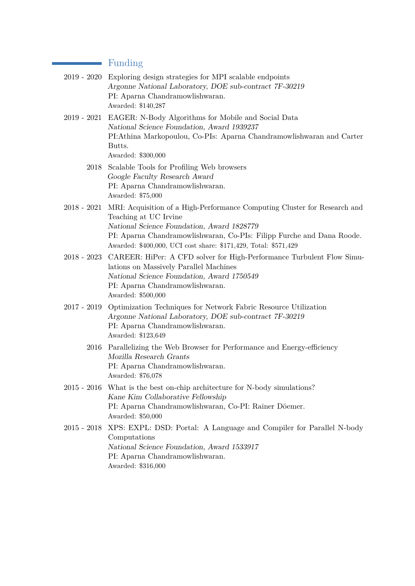#### Funding

 $\sim$ 

| 2019 - 2020 Exploring design strategies for MPI scalable endpoints |
|--------------------------------------------------------------------|
| Argonne National Laboratory, DOE sub-contract 7F-30219             |
| PI: Aparna Chandramowlishwaran.                                    |
| Awarded: \$140.287                                                 |

- 2019 2021 EAGER: N-Body Algorithms for Mobile and Social Data National Science Foundation, [Award 1939237](https://www.nsf.gov/awardsearch/showAward?AWD_ID=1939237) PI:Athina Markopoulou, Co-PIs: Aparna Chandramowlishwaran and Carter Butts. Awarded: \$300,000
	- 2018 Scalable Tools for Profiling Web browsers Google Faculty Research Award PI: Aparna Chandramowlishwaran. Awarded: \$75,000
- 2018 2021 MRI: Acquisition of a High-Performance Computing Cluster for Research and Teaching at UC Irvine National Science Foundation, [Award 1828779](https://www.nsf.gov/awardsearch/showAward?AWD_ID=1828779) PI: Aparna Chandramowlishwaran, Co-PIs: Filipp Furche and Dana Roode. Awarded: \$400,000, UCI cost share: \$171,429, Total: \$571,429
- 2018 2023 CAREER: HiPer: A CFD solver for High-Performance Turbulent Flow Simulations on Massively Parallel Machines National Science Foundation, [Award 1750549](https://www.nsf.gov/awardsearch/showAward?AWD_ID=1750549) PI: Aparna Chandramowlishwaran. Awarded: \$500,000
- 2017 2019 Optimization Techniques for Network Fabric Resource Utilization Argonne National Laboratory, DOE sub-contract 7F-30219 PI: Aparna Chandramowlishwaran. Awarded: \$123,649
	- 2016 Parallelizing the Web Browser for Performance and Energy-efficiency Mozilla Research Grants PI: Aparna Chandramowlishwaran. Awarded: \$76,078
- 2015 2016 What is the best on-chip architecture for N-body simulations? Kane Kim Collaborative Fellowship PI: Aparna Chandramowlishwaran, Co-PI: Rainer Döemer. Awarded: \$50,000
- 2015 2018 XPS: EXPL: DSD: Portal: A Language and Compiler for Parallel N-body Computations National Science Foundation, [Award 1533917](http://www.nsf.gov/awardsearch/showAward?AWD_ID=1533917) PI: Aparna Chandramowlishwaran. Awarded: \$316,000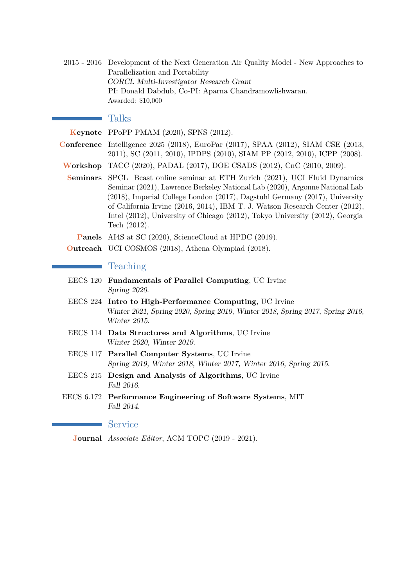2015 - 2016 Development of the Next Generation Air Quality Model - New Approaches to Parallelization and Portability CORCL Multi-Investigator Research Grant PI: Donald Dabdub, Co-PI: Aparna Chandramowlishwaran. Awarded: \$10,000

# Talks

**Keynote** PPoPP PMAM (2020), SPNS (2012). **Conference** Intelligence 2025 (2018), EuroPar (2017), SPAA (2012), SIAM CSE (2013, 2011), SC (2011, 2010), IPDPS (2010), SIAM PP (2012, 2010), ICPP (2008). **Workshop** TACC (2020), PADAL (2017), DOE CSADS (2012), CnC (2010, 2009). **Seminars** SPCL\_Bcast online seminar at ETH Zurich (2021), UCI Fluid Dynamics Seminar (2021), Lawrence Berkeley National Lab (2020), Argonne National Lab (2018), Imperial College London (2017), Dagstuhl Germany (2017), University of California Irvine (2016, 2014), IBM T. J. Watson Research Center (2012), Intel (2012), University of Chicago (2012), Tokyo University (2012), Georgia Tech (2012). **Panels** AI4S at SC (2020), ScienceCloud at HPDC (2019).

**Outreach** UCI COSMOS (2018), Athena Olympiad (2018).

## Teaching

- EECS 120 **Fundamentals of Parallel Computing**, UC Irvine Spring 2020.
- EECS 224 **Intro to High-Performance Computing**, UC Irvine Winter 2021, Spring 2020, Spring 2019, Winter 2018, Spring 2017, Spring 2016, Winter 2015.
- EECS 114 **Data Structures and Algorithms**, UC Irvine Winter 2020, Winter 2019.
- EECS 117 **Parallel Computer Systems**, UC Irvine Spring 2019, Winter 2018, Winter 2017, Winter 2016, Spring 2015.
- EECS 215 **Design and Analysis of Algorithms**, UC Irvine Fall 2016.
- EECS 6.172 **Performance Engineering of Software Systems**, MIT Fall 2014.

**Service** 

**Journal** *Associate Editor*, ACM TOPC (2019 - 2021).